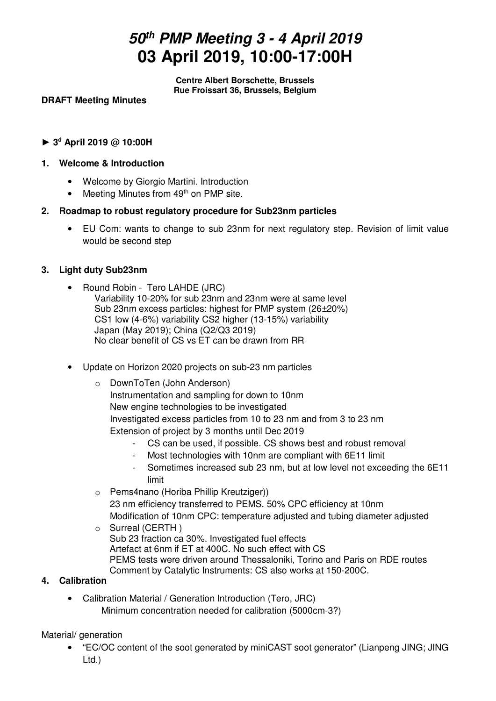# **50th PMP Meeting 3 - 4 April 2019 03 April 2019, 10:00-17:00H**

**Centre Albert Borschette, Brussels Rue Froissart 36, Brussels, Belgium** 

# **DRAFT Meeting Minutes**

**► 3<sup>d</sup> April 2019 @ 10:00H** 

## **1. Welcome & Introduction**

- Welcome by Giorgio Martini. Introduction
- Meeting Minutes from 49<sup>th</sup> on PMP site.

# **2. Roadmap to robust regulatory procedure for Sub23nm particles**

• EU Com: wants to change to sub 23nm for next regulatory step. Revision of limit value would be second step

# **3. Light duty Sub23nm**

- Round Robin Tero LAHDE (JRC) Variability 10-20% for sub 23nm and 23nm were at same level Sub 23nm excess particles: highest for PMP system (26±20%) CS1 low (4-6%) variability CS2 higher (13-15%) variability Japan (May 2019); China (Q2/Q3 2019) No clear benefit of CS vs ET can be drawn from RR
- Update on Horizon 2020 projects on sub-23 nm particles
	- o DownToTen (John Anderson) Instrumentation and sampling for down to 10nm New engine technologies to be investigated Investigated excess particles from 10 to 23 nm and from 3 to 23 nm Extension of project by 3 months until Dec 2019
		- CS can be used, if possible. CS shows best and robust removal
		- Most technologies with 10nm are compliant with 6E11 limit
		- Sometimes increased sub 23 nm, but at low level not exceeding the 6E11 limit
	- o Pems4nano (Horiba Phillip Kreutziger)) 23 nm efficiency transferred to PEMS. 50% CPC efficiency at 10nm Modification of 10nm CPC: temperature adjusted and tubing diameter adjusted o Surreal (CERTH )
	- Sub 23 fraction ca 30%. Investigated fuel effects Artefact at 6nm if ET at 400C. No such effect with CS PEMS tests were driven around Thessaloniki, Torino and Paris on RDE routes Comment by Catalytic Instruments: CS also works at 150-200C.

# **4. Calibration**

• Calibration Material / Generation Introduction (Tero, JRC) Minimum concentration needed for calibration (5000cm-3?)

Material/ generation

• "EC/OC content of the soot generated by miniCAST soot generator" (Lianpeng JING; JING Ltd.)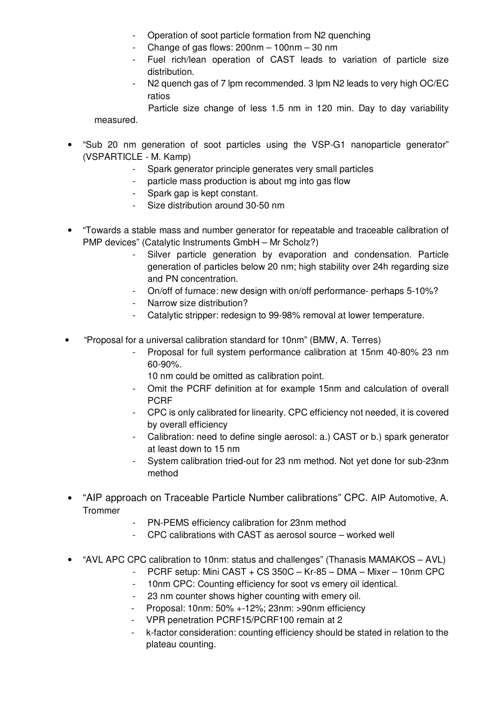- Operation of soot particle formation from N2 quenching
- Change of gas flows:  $200$ nm  $-100$ nm  $-30$  nm
- Fuel rich/lean operation of CAST leads to variation of particle size distribution.
- N2 quench gas of 7 lpm recommended. 3 lpm N2 leads to very high OC/EC ratios

 Particle size change of less 1.5 nm in 120 min. Day to day variability measured.

- "Sub 20 nm generation of soot particles using the VSP-G1 nanoparticle generator" (VSPARTICLE - M. Kamp)
	- Spark generator principle generates very small particles
	- particle mass production is about mg into gas flow
	- Spark gap is kept constant.
	- Size distribution around 30-50 nm
- "Towards a stable mass and number generator for repeatable and traceable calibration of PMP devices" (Catalytic Instruments GmbH – Mr Scholz?)
	- Silver particle generation by evaporation and condensation. Particle generation of particles below 20 nm; high stability over 24h regarding size and PN concentration.
	- On/off of furnace: new design with on/off performance- perhaps 5-10%?
	- Narrow size distribution?
	- Catalytic stripper: redesign to 99-98% removal at lower temperature.
- "Proposal for a universal calibration standard for 10nm" (BMW, A. Terres)
	- Proposal for full system performance calibration at 15nm 40-80% 23 nm 60-90%.
		- 10 nm could be omitted as calibration point.
	- Omit the PCRF definition at for example 15nm and calculation of overall PCRF
	- CPC is only calibrated for linearity. CPC efficiency not needed, it is covered by overall efficiency
	- Calibration: need to define single aerosol: a.) CAST or b.) spark generator at least down to 15 nm
	- System calibration tried-out for 23 nm method. Not yet done for sub-23nm method
- "AIP approach on Traceable Particle Number calibrations" CPC. AIP Automotive, A. **Trommer** 
	- PN-PEMS efficiency calibration for 23nm method
	- CPC calibrations with CAST as aerosol source worked well
- "AVL APC CPC calibration to 10nm: status and challenges" (Thanasis MAMAKOS AVL)
	- PCRF setup: Mini CAST + CS 350C Kr-85 DMA Mixer 10nm CPC
	- 10nm CPC: Counting efficiency for soot vs emery oil identical.
	- 23 nm counter shows higher counting with emery oil.
	- Proposal: 10nm: 50% +-12%; 23nm: >90nm efficiency
	- VPR penetration PCRF15/PCRF100 remain at 2
	- k-factor consideration: counting efficiency should be stated in relation to the plateau counting.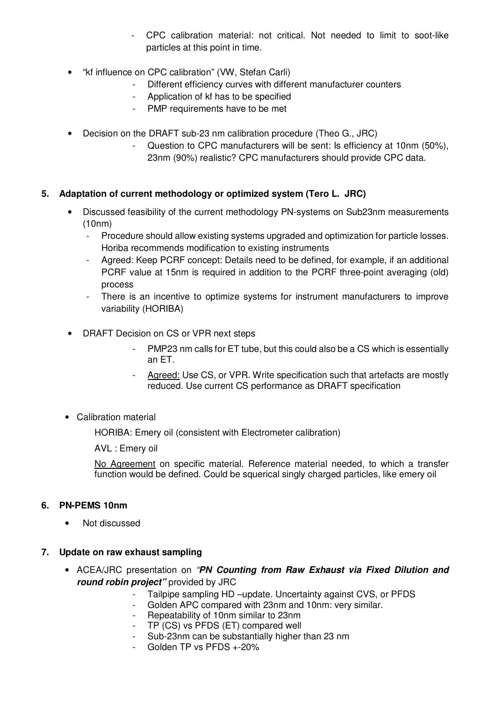- CPC calibration material: not critical. Not needed to limit to soot-like particles at this point in time.
- "kf influence on CPC calibration" (VW, Stefan Carli)
	- Different efficiency curves with different manufacturer counters
	- Application of kf has to be specified
	- PMP requirements have to be met
- Decision on the DRAFT sub-23 nm calibration procedure (Theo G., JRC)
	- Question to CPC manufacturers will be sent: Is efficiency at 10nm (50%), 23nm (90%) realistic? CPC manufacturers should provide CPC data.

# **5. Adaptation of current methodology or optimized system (Tero L. JRC)**

- Discussed feasibility of the current methodology PN-systems on Sub23nm measurements (10nm)
	- Procedure should allow existing systems upgraded and optimization for particle losses. Horiba recommends modification to existing instruments
	- Agreed: Keep PCRF concept: Details need to be defined, for example, if an additional PCRF value at 15nm is required in addition to the PCRF three-point averaging (old) process
	- There is an incentive to optimize systems for instrument manufacturers to improve variability (HORIBA)
- DRAFT Decision on CS or VPR next steps
	- PMP23 nm calls for ET tube, but this could also be a CS which is essentially an ET.
	- Agreed: Use CS, or VPR. Write specification such that artefacts are mostly reduced. Use current CS performance as DRAFT specification
- Calibration material

HORIBA: Emery oil (consistent with Electrometer calibration)

AVL : Emery oil

No Agreement on specific material. Reference material needed, to which a transfer function would be defined. Could be squerical singly charged particles, like emery oil

# **6. PN-PEMS 10nm**

• Not discussed

# **7. Update on raw exhaust sampling**

- ACEA/JRC presentation on "**PN Counting from Raw Exhaust via Fixed Dilution and round robin project"** provided by JRC
	- Tailpipe sampling HD –update. Uncertainty against CVS, or PFDS
		- Golden APC compared with 23nm and 10nm: very similar.
		- Repeatability of 10nm similar to 23nm
		- TP (CS) vs PFDS (ET) compared well
	- Sub-23nm can be substantially higher than 23 nm
	- Golden TP vs PFDS +-20%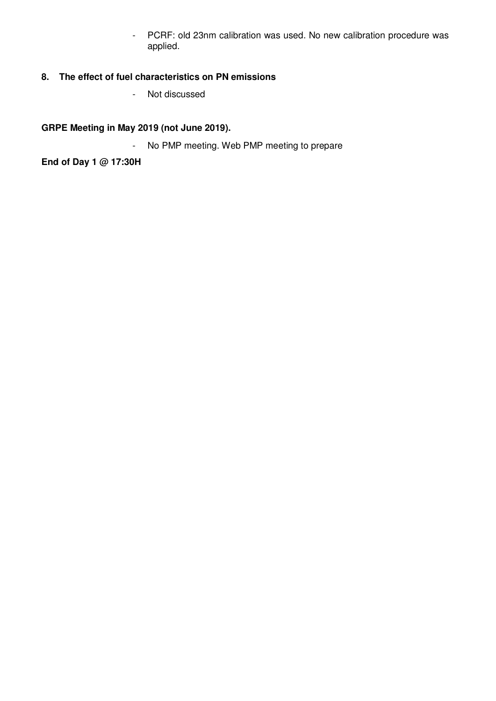- PCRF: old 23nm calibration was used. No new calibration procedure was applied.

# **8. The effect of fuel characteristics on PN emissions**

- Not discussed

**GRPE Meeting in May 2019 (not June 2019).**

- No PMP meeting. Web PMP meeting to prepare

**End of Day 1 @ 17:30H**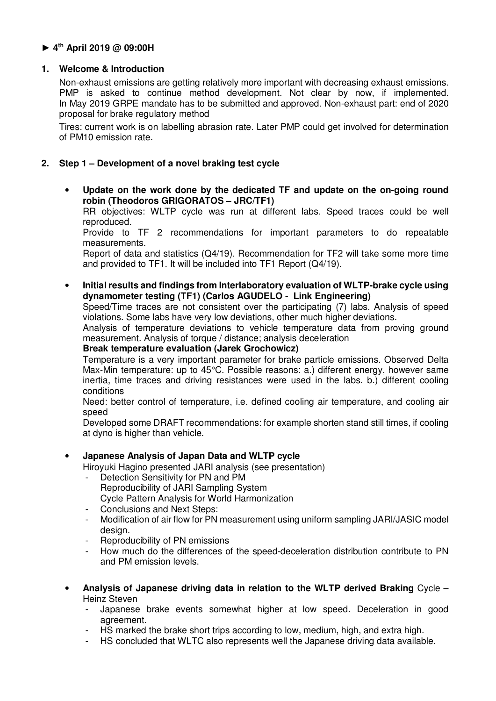# **► 4th April 2019 @ 09:00H**

# **1. Welcome & Introduction**

Non-exhaust emissions are getting relatively more important with decreasing exhaust emissions. PMP is asked to continue method development. Not clear by now, if implemented. In May 2019 GRPE mandate has to be submitted and approved. Non-exhaust part: end of 2020 proposal for brake regulatory method

Tires: current work is on labelling abrasion rate. Later PMP could get involved for determination of PM10 emission rate.

# **2. Step 1 – Development of a novel braking test cycle**

• **Update on the work done by the dedicated TF and update on the on-going round robin (Theodoros GRIGORATOS – JRC/TF1)** 

RR objectives: WLTP cycle was run at different labs. Speed traces could be well reproduced.

Provide to TF 2 recommendations for important parameters to do repeatable measurements.

Report of data and statistics (Q4/19). Recommendation for TF2 will take some more time and provided to TF1. It will be included into TF1 Report (Q4/19).

• **Initial results and findings from Interlaboratory evaluation of WLTP-brake cycle using dynamometer testing (TF1) (Carlos AGUDELO - Link Engineering)** 

Speed/Time traces are not consistent over the participating (7) labs. Analysis of speed violations. Some labs have very low deviations, other much higher deviations.

Analysis of temperature deviations to vehicle temperature data from proving ground measurement. Analysis of torque / distance; analysis deceleration

#### **Break temperature evaluation (Jarek Grochowicz)**

Temperature is a very important parameter for brake particle emissions. Observed Delta Max-Min temperature: up to 45°C. Possible reasons: a.) different energy, however same inertia, time traces and driving resistances were used in the labs. b.) different cooling conditions

Need: better control of temperature, i.e. defined cooling air temperature, and cooling air speed

Developed some DRAFT recommendations: for example shorten stand still times, if cooling at dyno is higher than vehicle.

## • **Japanese Analysis of Japan Data and WLTP cycle**

Hiroyuki Hagino presented JARI analysis (see presentation)

- Detection Sensitivity for PN and PM Reproducibility of JARI Sampling System Cycle Pattern Analysis for World Harmonization
- Conclusions and Next Steps:
- Modification of air flow for PN measurement using uniform sampling JARI/JASIC model design.
- Reproducibility of PN emissions
- How much do the differences of the speed-deceleration distribution contribute to PN and PM emission levels.
- **Analysis of Japanese driving data in relation to the WLTP derived Braking** Cycle Heinz Steven
	- Japanese brake events somewhat higher at low speed. Deceleration in good agreement.
	- HS marked the brake short trips according to low, medium, high, and extra high.
	- HS concluded that WLTC also represents well the Japanese driving data available.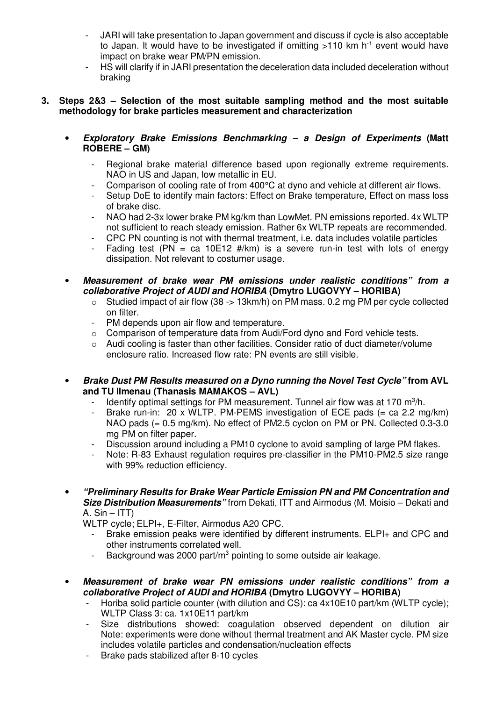- JARI will take presentation to Japan government and discuss if cycle is also acceptable to Japan. It would have to be investigated if omitting  $>110$  km h<sup>-1</sup> event would have impact on brake wear PM/PN emission.
- HS will clarify if in JARI presentation the deceleration data included deceleration without braking

## **3. Steps 2&3 – Selection of the most suitable sampling method and the most suitable methodology for brake particles measurement and characterization**

- **Exploratory Brake Emissions Benchmarking a Design of Experiments (Matt ROBERE – GM)** 
	- Regional brake material difference based upon regionally extreme requirements. NAO in US and Japan, low metallic in EU.
	- Comparison of cooling rate of from 400°C at dyno and vehicle at different air flows.
	- Setup DoE to identify main factors: Effect on Brake temperature, Effect on mass loss of brake disc.
	- NAO had 2-3x lower brake PM kg/km than LowMet. PN emissions reported. 4x WLTP not sufficient to reach steady emission. Rather 6x WLTP repeats are recommended.
	- CPC PN counting is not with thermal treatment, i.e. data includes volatile particles
	- Fading test (PN = ca 10E12 #/km) is a severe run-in test with lots of energy dissipation. Not relevant to costumer usage.
- **Measurement of brake wear PM emissions under realistic conditions" from a collaborative Project of AUDI and HORIBA (Dmytro LUGOVYY – HORIBA)** 
	- $\circ$  Studied impact of air flow (38 -> 13km/h) on PM mass, 0.2 mg PM per cycle collected on filter.
	- PM depends upon air flow and temperature.
	- o Comparison of temperature data from Audi/Ford dyno and Ford vehicle tests.
	- $\circ$  Audi cooling is faster than other facilities. Consider ratio of duct diameter/volume enclosure ratio. Increased flow rate: PN events are still visible.
- **Brake Dust PM Results measured on a Dyno running the Novel Test Cycle" from AVL and TU Ilmenau (Thanasis MAMAKOS – AVL)** 
	- Identify optimal settings for PM measurement. Tunnel air flow was at 170  $m^3/h$ .
	- Brake run-in: 20 x WLTP. PM-PEMS investigation of ECE pads (= ca 2.2 mg/km) NAO pads (= 0.5 mg/km). No effect of PM2.5 cyclon on PM or PN. Collected 0.3-3.0 mg PM on filter paper.
	- Discussion around including a PM10 cyclone to avoid sampling of large PM flakes.
	- Note: R-83 Exhaust regulation requires pre-classifier in the PM10-PM2.5 size range with 99% reduction efficiency.
- **"Preliminary Results for Brake Wear Particle Emission PN and PM Concentration and Size Distribution Measurements"** from Dekati, ITT and Airmodus (M. Moisio – Dekati and A.  $Sin - ITT$ )

WLTP cycle; ELPI+, E-Filter, Airmodus A20 CPC.

- Brake emission peaks were identified by different instruments. ELPI+ and CPC and other instruments correlated well.
- Background was 2000 part/ $m<sup>3</sup>$  pointing to some outside air leakage.
- **Measurement of brake wear PN emissions under realistic conditions" from a collaborative Project of AUDI and HORIBA (Dmytro LUGOVYY – HORIBA)** 
	- Horiba solid particle counter (with dilution and CS): ca  $4x10E10$  part/km (WLTP cycle); WLTP Class 3: ca. 1x10E11 part/km
	- Size distributions showed: coagulation observed dependent on dilution air Note: experiments were done without thermal treatment and AK Master cycle. PM size includes volatile particles and condensation/nucleation effects
	- Brake pads stabilized after 8-10 cycles